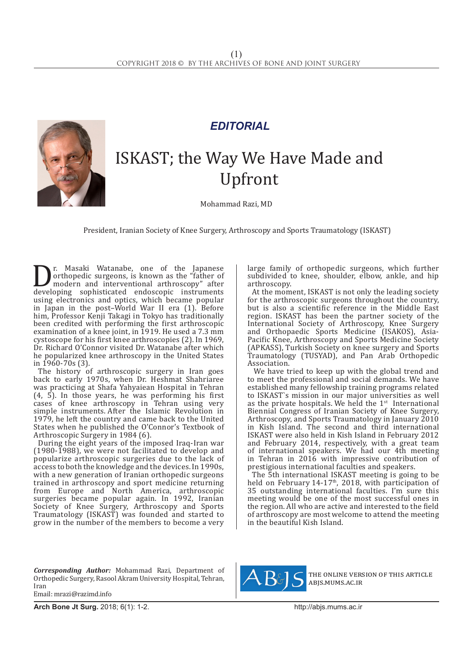

## *EDITORIAL*

## ISKAST; the Way We Have Made and Upfront

Mohammad Razi, MD

President, Iranian Society of Knee Surgery, Arthroscopy and Sports Traumatology (ISKAST)

**D** r. Masaki Watanabe, one of the Japanese<br>
orthopedic surgeons, is known as the "father of<br>
modern and interventional arthroscopy" after<br>
developing sophisticated endoscopic instruments<br>
using electronics and ontics whic orthopedic surgeons, is known as the "father of modern and interventional arthroscopy" after developing sophisticated endoscopic instruments using electronics and optics, which became popular in Japan in the post–World War II era (1). Before him, Professor Kenji Takagi in Tokyo has traditionally been credited with performing the first arthroscopic examination of a knee joint, in 1919. He used a 7.3 mm cystoscope for his first knee arthroscopies (2). In 1969, Dr. Richard O'Connor visited Dr. Watanabe after which he popularized knee arthroscopy in the United States in 1960-70s (3).

The history of arthroscopic surgery in Iran goes back to early 1970s, when Dr. Heshmat Shahriaree was practicing at Shafa Yahyaiean Hospital in Tehran (4, 5). In those years, he was performing his first cases of knee arthroscopy in Tehran using very simple instruments. After the Islamic Revolution in 1979, he left the country and came back to the United States when he published the O'Connor's Textbook of Arthroscopic Surgery in 1984 (6).

During the eight years of the imposed Iraq-Iran war (1980-1988), we were not facilitated to develop and popularize arthroscopic surgeries due to the lack of access to both the knowledge and the devices. In 1990s, with a new generation of Iranian orthopedic surgeons trained in arthroscopy and sport medicine returning from Europe and North America, arthroscopic surgeries became popular again. In 1992, Iranian Society of Knee Surgery, Arthroscopy and Sports Traumatology (ISKAST) was founded and started to grow in the number of the members to become a very large family of orthopedic surgeons, which further subdivided to knee, shoulder, elbow, ankle, and hip arthroscopy.

At the moment, ISKAST is not only the leading society for the arthroscopic surgeons throughout the country, but is also a scientific reference in the Middle East region. ISKAST has been the partner society of the International Society of Arthroscopy, Knee Surgery and Orthopaedic Sports Medicine (ISAKOS), Asia-Pacific Knee, Arthroscopy and Sports Medicine Society (APKASS), Turkish Society on knee surgery and Sports Traumatology (TUSYAD), and Pan Arab Orthopedic Association.

We have tried to keep up with the global trend and to meet the professional and social demands. We have established many fellowship training programs related to ISKAST`s mission in our major universities as well as the private hospitals. We held the  $1<sup>st</sup>$  International Biennial Congress of Iranian Society of Knee Surgery, Arthroscopy, and Sports Traumatology in January 2010 in Kish Island. The second and third international ISKAST were also held in Kish Island in February 2012 and February 2014, respectively, with a great team of international speakers. We had our 4th meeting in Tehran in 2016 with impressive contribution of prestigious international faculties and speakers.

The 5th international ISKAST meeting is going to be held on February 14-17<sup>th</sup>, 2018, with participation of 35 outstanding international faculties. I'm sure this meeting would be one of the most successful ones in the region. All who are active and interested to the field of arthroscopy are most welcome to attend the meeting in the beautiful Kish Island.

*Corresponding Author:* Mohammad Razi, Department of Orthopedic Surgery, Rasool Akram University Hospital, Tehran, Iran Email: mrazi@razimd.info



the online version of this article abjs.mums.ac.ir

**Arch Bone Jt Surg.** 2018; 6(1): 1-2.http://abjs.mums.ac.ir